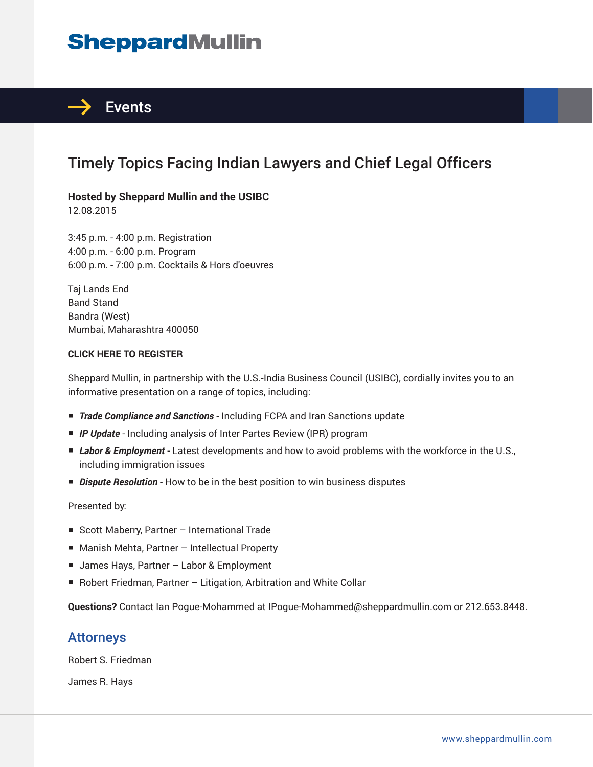# **SheppardMullin**



## Timely Topics Facing Indian Lawyers and Chief Legal Officers

## **Hosted by Sheppard Mullin and the USIBC**

12.08.2015

3:45 p.m. - 4:00 p.m. Registration 4:00 p.m. - 6:00 p.m. Program 6:00 p.m. - 7:00 p.m. Cocktails & Hors d'oeuvres

Taj Lands End Band Stand Bandra (West) Mumbai, Maharashtra 400050

#### **CLICK HERE TO REGISTER**

Sheppard Mullin, in partnership with the U.S.-India Business Council (USIBC), cordially invites you to an informative presentation on a range of topics, including:

- *Trade Compliance and Sanctions* Including FCPA and Iran Sanctions update
- *IP Update* Including analysis of Inter Partes Review (IPR) program
- *Labor & Employment* Latest developments and how to avoid problems with the workforce in the U.S., including immigration issues
- *Dispute Resolution* How to be in the best position to win business disputes

Presented by:

- Scott Maberry, Partner International Trade
- Manish Mehta, Partner Intellectual Property
- James Hays, Partner Labor & Employment
- Robert Friedman, Partner Litigation, Arbitration and White Collar

**Questions?** Contact Ian Pogue-Mohammed at IPogue-Mohammed@sheppardmullin.com or 212.653.8448.

### Attorneys

Robert S. Friedman

James R. Hays